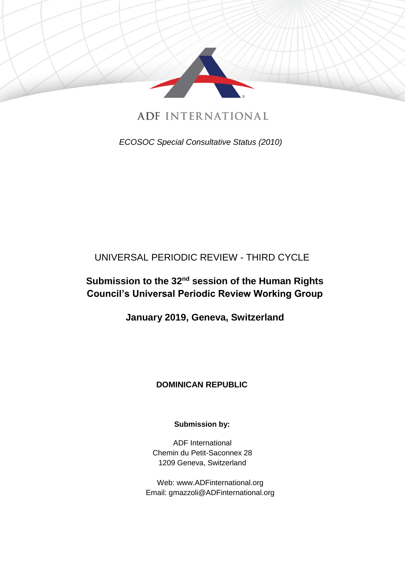

**ADF INTERNATIONAL** 

*ECOSOC Special Consultative Status (2010)*

# UNIVERSAL PERIODIC REVIEW - THIRD CYCLE

# **Submission to the 32nd session of the Human Rights Council's Universal Periodic Review Working Group**

**January 2019, Geneva, Switzerland**

### **DOMINICAN REPUBLIC**

**Submission by:** 

ADF International Chemin du Petit-Saconnex 28 1209 Geneva, Switzerland

Web: www.ADFinternational.org Email: gmazzoli@ADFinternational.org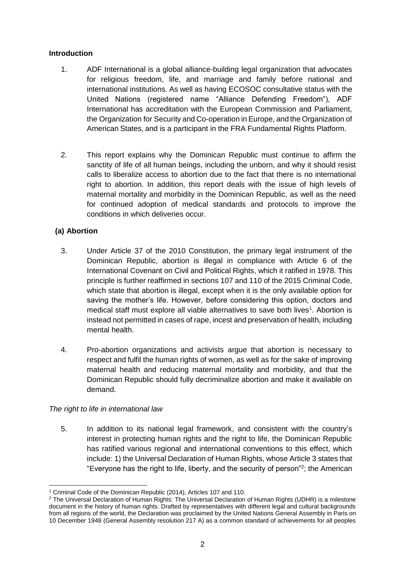#### **Introduction**

- 1. ADF International is a global alliance-building legal organization that advocates for religious freedom, life, and marriage and family before national and international institutions. As well as having ECOSOC consultative status with the United Nations (registered name "Alliance Defending Freedom"), ADF International has accreditation with the European Commission and Parliament, the Organization for Security and Co-operation in Europe, and the Organization of American States, and is a participant in the FRA Fundamental Rights Platform.
- 2. This report explains why the Dominican Republic must continue to affirm the sanctity of life of all human beings, including the unborn, and why it should resist calls to liberalize access to abortion due to the fact that there is no international right to abortion. In addition, this report deals with the issue of high levels of maternal mortality and morbidity in the Dominican Republic, as well as the need for continued adoption of medical standards and protocols to improve the conditions in which deliveries occur.

### **(a) Abortion**

- 3. Under Article 37 of the 2010 Constitution, the primary legal instrument of the Dominican Republic, abortion is illegal in compliance with Article 6 of the International Covenant on Civil and Political Rights, which it ratified in 1978. This principle is further reaffirmed in sections 107 and 110 of the 2015 Criminal Code, which state that abortion is illegal, except when it is the only available option for saving the mother's life. However, before considering this option, doctors and medical staff must explore all viable alternatives to save both lives<sup>1</sup>. Abortion is instead not permitted in cases of rape, incest and preservation of health, including mental health.
- 4. Pro-abortion organizations and activists argue that abortion is necessary to respect and fulfil the human rights of women, as well as for the sake of improving maternal health and reducing maternal mortality and morbidity, and that the Dominican Republic should fully decriminalize abortion and make it available on demand.

#### *The right to life in international law*

5. In addition to its national legal framework, and consistent with the country's interest in protecting human rights and the right to life, the Dominican Republic has ratified various regional and international conventions to this effect, which include: 1) the Universal Declaration of Human Rights, whose Article 3 states that "Everyone has the right to life, liberty, and the security of person"<sup>2</sup> ; the American

 <sup>1</sup> Criminal Code of the Dominican Republic (2014), Articles 107 and 110.

<sup>2</sup> The Universal Declaration of Human Rights: The Universal Declaration of Human Rights (UDHR) is a milestone document in the history of human rights. Drafted by representatives with different legal and cultural backgrounds from all regions of the world, the Declaration was proclaimed by the United Nations General Assembly in Paris on 10 December 1948 (General Assembly resolution 217 A) as a common standard of achievements for all peoples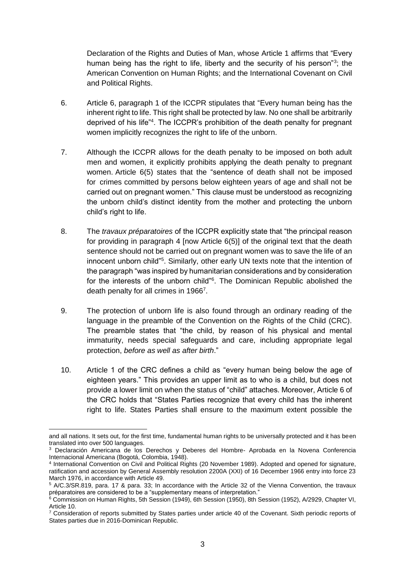Declaration of the Rights and Duties of Man, whose Article 1 affirms that "Every human being has the right to life, liberty and the security of his person"<sup>3</sup>; the American Convention on Human Rights; and the International Covenant on Civil and Political Rights.

- 6. Article 6, paragraph 1 of the ICCPR stipulates that "Every human being has the inherent right to life. This right shall be protected by law. No one shall be arbitrarily deprived of his life"<sup>4</sup> . The ICCPR's prohibition of the death penalty for pregnant women implicitly recognizes the right to life of the unborn.
- 7. Although the ICCPR allows for the death penalty to be imposed on both adult men and women, it explicitly prohibits applying the death penalty to pregnant women. Article 6(5) states that the "sentence of death shall not be imposed for crimes committed by persons below eighteen years of age and shall not be carried out on pregnant women." This clause must be understood as recognizing the unborn child's distinct identity from the mother and protecting the unborn child's right to life.
- 8. The *travaux préparatoires* of the ICCPR explicitly state that "the principal reason for providing in paragraph 4 [now Article 6(5)] of the original text that the death sentence should not be carried out on pregnant women was to save the life of an innocent unborn child"<sup>5</sup>. Similarly, other early UN texts note that the intention of the paragraph "was inspired by humanitarian considerations and by consideration for the interests of the unborn child"<sup>6</sup>. The Dominican Republic abolished the death penalty for all crimes in 1966<sup>7</sup>.
- 9. The protection of unborn life is also found through an ordinary reading of the language in the preamble of the Convention on the Rights of the Child (CRC). The preamble states that "the child, by reason of his physical and mental immaturity, needs special safeguards and care, including appropriate legal protection, *before as well as after birth*."
- 10. Article 1 of the CRC defines a child as "every human being below the age of eighteen years." This provides an upper limit as to who is a child, but does not provide a lower limit on when the status of "child" attaches. Moreover, Article 6 of the CRC holds that "States Parties recognize that every child has the inherent right to life. States Parties shall ensure to the maximum extent possible the

and all nations. It sets out, for the first time, fundamental human rights to be universally protected and it has been translated into over 500 languages.

<sup>&</sup>lt;sup>3</sup> Declaración Americana de los Derechos y Deberes del Hombre- Aprobada en la Novena Conferencia Internacional Americana (Bogotá, Colombia, 1948).

<sup>4</sup> International Convention on Civil and Political Rights (20 November 1989). Adopted and opened for signature, ratification and accession by General Assembly resolution 2200A (XXI) of 16 December 1966 entry into force 23 March 1976, in accordance with Article 49.

<sup>5</sup> A/C.3/SR.819, para. 17 & para. 33; In accordance with the Article 32 of the Vienna Convention, the travaux préparatoires are considered to be a "supplementary means of interpretation."

<sup>&</sup>lt;sup>6</sup> Commission on Human Rights, 5th Session (1949), 6th Session (1950), 8th Session (1952), A/2929, Chapter VI, Article 10.

<sup>7</sup> Consideration of reports submitted by States parties under article 40 of the Covenant. Sixth periodic reports of States parties due in 2016-Dominican Republic.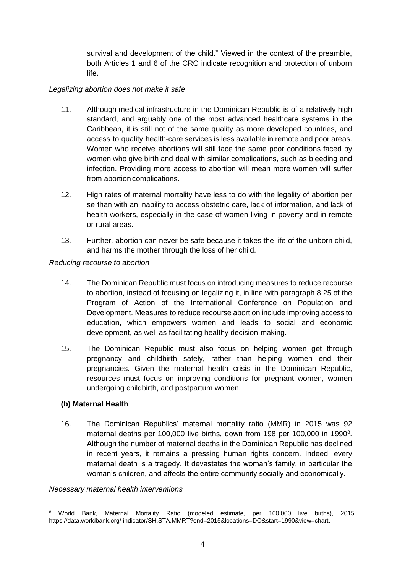survival and development of the child." Viewed in the context of the preamble, both Articles 1 and 6 of the CRC indicate recognition and protection of unborn life.

#### *Legalizing abortion does not make it safe*

- 11. Although medical infrastructure in the Dominican Republic is of a relatively high standard, and arguably one of the most advanced healthcare systems in the Caribbean, it is still not of the same quality as more developed countries, and access to quality health-care services is less available in remote and poor areas. Women who receive abortions will still face the same poor conditions faced by women who give birth and deal with similar complications, such as bleeding and infection. Providing more access to abortion will mean more women will suffer from abortion complications.
- 12. High rates of maternal mortality have less to do with the legality of abortion per se than with an inability to access obstetric care, lack of information, and lack of health workers, especially in the case of women living in poverty and in remote or rural areas.
- 13. Further, abortion can never be safe because it takes the life of the unborn child, and harms the mother through the loss of her child.

#### *Reducing recourse to abortion*

- 14. The Dominican Republic must focus on introducing measures to reduce recourse to abortion, instead of focusing on legalizing it, in line with paragraph 8.25 of the Program of Action of the International Conference on Population and Development. Measures to reduce recourse abortion include improving access to education, which empowers women and leads to social and economic development, as well as facilitating healthy decision-making.
- 15. The Dominican Republic must also focus on helping women get through pregnancy and childbirth safely, rather than helping women end their pregnancies. Given the maternal health crisis in the Dominican Republic, resources must focus on improving conditions for pregnant women, women undergoing childbirth, and postpartum women.

### **(b) Maternal Health**

16. The Dominican Republics' maternal mortality ratio (MMR) in 2015 was 92 maternal deaths per 100,000 live births, down from 198 per 100,000 in 1990<sup>8</sup>. Although the number of maternal deaths in the Dominican Republic has declined in recent years, it remains a pressing human rights concern. Indeed, every maternal death is a tragedy. It devastates the woman's family, in particular the woman's children, and affects the entire community socially and economically.

#### *Necessary maternal health interventions*

 $\overline{a}$ <sup>8</sup> World Bank, Maternal Mortality Ratio (modeled estimate, per 100,000 live births), 2015, https://data.worldbank.org/ indicator/SH.STA.MMRT?end=2015&locations=DO&start=1990&view=chart.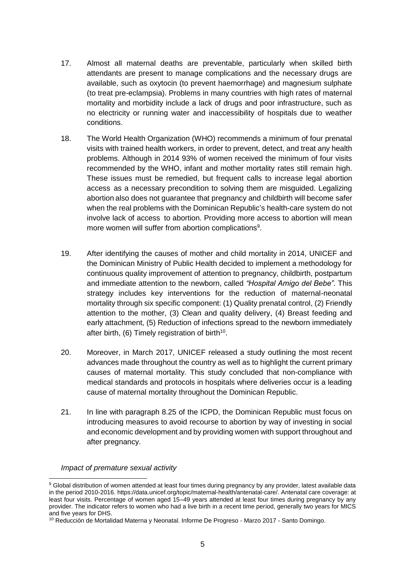- 17. Almost all maternal deaths are preventable, particularly when skilled birth attendants are present to manage complications and the necessary drugs are available, such as oxytocin (to prevent haemorrhage) and magnesium sulphate (to treat pre-eclampsia). Problems in many countries with high rates of maternal mortality and morbidity include a lack of drugs and poor infrastructure, such as no electricity or running water and inaccessibility of hospitals due to weather conditions.
- 18. The World Health Organization (WHO) recommends a minimum of four prenatal visits with trained health workers, in order to prevent, detect, and treat any health problems. Although in 2014 93% of women received the minimum of four visits recommended by the WHO, infant and mother mortality rates still remain high. These issues must be remedied, but frequent calls to increase legal abortion access as a necessary precondition to solving them are misguided. Legalizing abortion also does not guarantee that pregnancy and childbirth will become safer when the real problems with the Dominican Republic's health-care system do not involve lack of access to abortion. Providing more access to abortion will mean more women will suffer from abortion complications<sup>9</sup>.
- 19. After identifying the causes of mother and child mortality in 2014, UNICEF and the Dominican Ministry of Public Health decided to implement a methodology for continuous quality improvement of attention to pregnancy, childbirth, postpartum and immediate attention to the newborn, called *"Hospital Amigo del Bebe"*. This strategy includes key interventions for the reduction of maternal-neonatal mortality through six specific component: (1) Quality prenatal control, (2) Friendly attention to the mother, (3) Clean and quality delivery, (4) Breast feeding and early attachment, (5) Reduction of infections spread to the newborn immediately after birth, (6) Timely registration of birth<sup>10</sup>.
- 20. Moreover, in March 2017, UNICEF released a study outlining the most recent advances made throughout the country as well as to highlight the current primary causes of maternal mortality. This study concluded that non-compliance with medical standards and protocols in hospitals where deliveries occur is a leading cause of maternal mortality throughout the Dominican Republic.
- 21. In line with paragraph 8.25 of the ICPD, the Dominican Republic must focus on introducing measures to avoid recourse to abortion by way of investing in social and economic development and by providing women with support throughout and after pregnancy.

#### *Impact of premature sexual activity*

<sup>9</sup> Global distribution of women attended at least four times during pregnancy by any provider, latest available data in the period 2010-2016. https://data.unicef.org/topic/maternal-health/antenatal-care/. Antenatal care coverage: at least four visits. Percentage of women aged 15–49 years attended at least four times during pregnancy by any provider. The indicator refers to women who had a live birth in a recent time period, generally two years for MICS and five years for DHS.

<sup>10</sup> Reducción de Mortalidad Materna y Neonatal. Informe De Progreso - Marzo 2017 - Santo Domingo.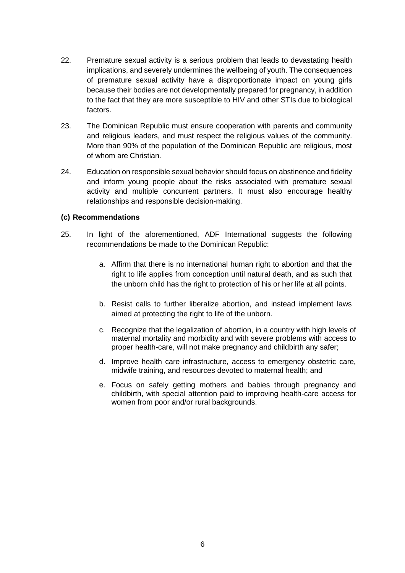- 22. Premature sexual activity is a serious problem that leads to devastating health implications, and severely undermines the wellbeing of youth. The consequences of premature sexual activity have a disproportionate impact on young girls because their bodies are not developmentally prepared for pregnancy, in addition to the fact that they are more susceptible to HIV and other STIs due to biological factors.
- 23. The Dominican Republic must ensure cooperation with parents and community and religious leaders, and must respect the religious values of the community. More than 90% of the population of the Dominican Republic are religious, most of whom are Christian.
- 24. Education on responsible sexual behavior should focus on abstinence and fidelity and inform young people about the risks associated with premature sexual activity and multiple concurrent partners. It must also encourage healthy relationships and responsible decision-making.

#### **(c) Recommendations**

- 25. In light of the aforementioned, ADF International suggests the following recommendations be made to the Dominican Republic:
	- a. Affirm that there is no international human right to abortion and that the right to life applies from conception until natural death, and as such that the unborn child has the right to protection of his or her life at all points.
	- b. Resist calls to further liberalize abortion, and instead implement laws aimed at protecting the right to life of the unborn.
	- c. Recognize that the legalization of abortion, in a country with high levels of maternal mortality and morbidity and with severe problems with access to proper health-care, will not make pregnancy and childbirth any safer;
	- d. Improve health care infrastructure, access to emergency obstetric care, midwife training, and resources devoted to maternal health; and
	- e. Focus on safely getting mothers and babies through pregnancy and childbirth, with special attention paid to improving health-care access for women from poor and/or rural backgrounds.